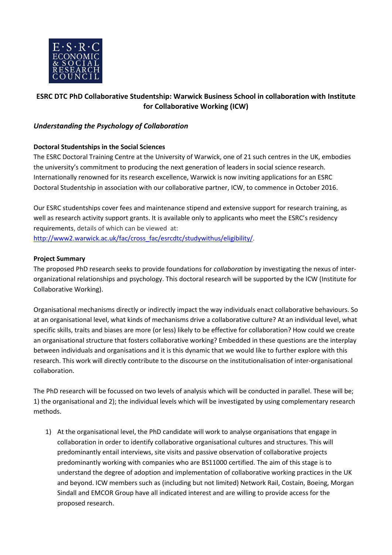

# **ESRC DTC PhD Collaborative Studentship: Warwick Business School in collaboration with Institute for Collaborative Working (ICW)**

## *Understanding the Psychology of Collaboration*

### **Doctoral Studentships in the Social Sciences**

The ESRC Doctoral Training Centre at the University of Warwick, one of 21 such centres in the UK, embodies the university's commitment to producing the next generation of leaders in social science research. Internationally renowned for its research excellence, Warwick is now inviting applications for an ESRC Doctoral Studentship in association with our collaborative partner, ICW, to commence in October 2016.

Our ESRC studentships cover fees and maintenance stipend and extensive support for research training, as well as research activity support grants. It is available only to applicants who meet the ESRC's residency requirements, details of which can be viewed at: [http://www2.warwick.ac.uk/fac/cross\\_fac/esrcdtc/studywithus/eligibility/.](http://www2.warwick.ac.uk/fac/cross_fac/esrcdtc/studywithus/eligibility/)

#### **Project Summary**

The proposed PhD research seeks to provide foundations for *collaboration* by investigating the nexus of interorganizational relationships and psychology. This doctoral research will be supported by the ICW (Institute for Collaborative Working).

Organisational mechanisms directly or indirectly impact the way individuals enact collaborative behaviours. So at an organisational level, what kinds of mechanisms drive a collaborative culture? At an individual level, what specific skills, traits and biases are more (or less) likely to be effective for collaboration? How could we create an organisational structure that fosters collaborative working? Embedded in these questions are the interplay between individuals and organisations and it is this dynamic that we would like to further explore with this research. This work will directly contribute to the discourse on the institutionalisation of inter-organisational collaboration.

The PhD research will be focussed on two levels of analysis which will be conducted in parallel. These will be; 1) the organisational and 2); the individual levels which will be investigated by using complementary research methods.

1) At the organisational level, the PhD candidate will work to analyse organisations that engage in collaboration in order to identify collaborative organisational cultures and structures. This will predominantly entail interviews, site visits and passive observation of collaborative projects predominantly working with companies who are BS11000 certified. The aim of this stage is to understand the degree of adoption and implementation of collaborative working practices in the UK and beyond. ICW members such as (including but not limited) Network Rail, Costain, Boeing, Morgan Sindall and EMCOR Group have all indicated interest and are willing to provide access for the proposed research.